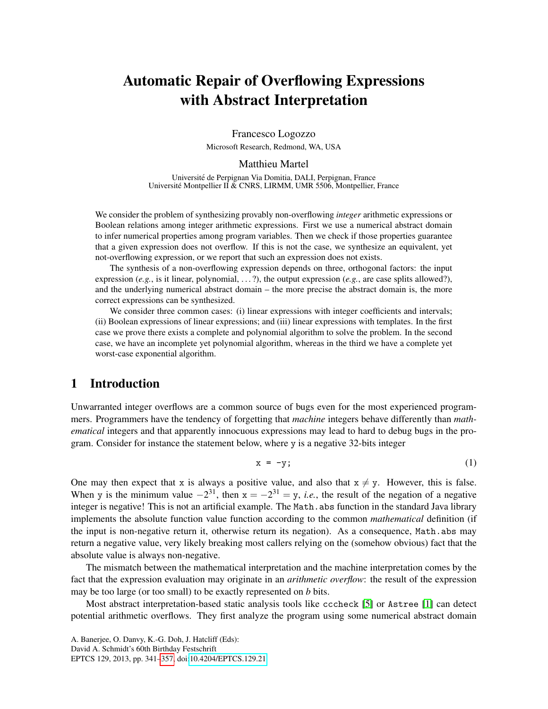# Automatic Repair of Overflowing Expressions with Abstract Interpretation

Francesco Logozzo Microsoft Research, Redmond, WA, USA

#### Matthieu Martel

Universite de Perpignan Via Domitia, DALI, Perpignan, France ´ Universite Montpellier II & CNRS, LIRMM, UMR 5506, Montpellier, France ´

We consider the problem of synthesizing provably non-overflowing *integer* arithmetic expressions or Boolean relations among integer arithmetic expressions. First we use a numerical abstract domain to infer numerical properties among program variables. Then we check if those properties guarantee that a given expression does not overflow. If this is not the case, we synthesize an equivalent, yet not-overflowing expression, or we report that such an expression does not exists.

The synthesis of a non-overflowing expression depends on three, orthogonal factors: the input expression (*e.g.*, is it linear, polynomial, . . . ?), the output expression (*e.g.*, are case splits allowed?), and the underlying numerical abstract domain – the more precise the abstract domain is, the more correct expressions can be synthesized.

We consider three common cases: (i) linear expressions with integer coefficients and intervals; (ii) Boolean expressions of linear expressions; and (iii) linear expressions with templates. In the first case we prove there exists a complete and polynomial algorithm to solve the problem. In the second case, we have an incomplete yet polynomial algorithm, whereas in the third we have a complete yet worst-case exponential algorithm.

# 1 Introduction

Unwarranted integer overflows are a common source of bugs even for the most experienced programmers. Programmers have the tendency of forgetting that *machine* integers behave differently than *mathematical* integers and that apparently innocuous expressions may lead to hard to debug bugs in the program. Consider for instance the statement below, where y is a negative 32-bits integer

<span id="page-0-0"></span>
$$
x = -y; \tag{1}
$$

One may then expect that x is always a positive value, and also that  $x \neq y$ . However, this is false. When y is the minimum value  $-2^{31}$ , then  $x = -2^{31} = y$ , *i.e.*, the result of the negation of a negative integer is negative! This is not an artificial example. The Math.abs function in the standard Java library implements the absolute function value function according to the common *mathematical* definition (if the input is non-negative return it, otherwise return its negation). As a consequence, Math.abs may return a negative value, very likely breaking most callers relying on the (somehow obvious) fact that the absolute value is always non-negative.

The mismatch between the mathematical interpretation and the machine interpretation comes by the fact that the expression evaluation may originate in an *arithmetic overflow*: the result of the expression may be too large (or too small) to be exactly represented on *b* bits.

Most abstract interpretation-based static analysis tools like cccheck [\[5\]](#page-15-0) or Astree [\[1\]](#page-14-0) can detect potential arithmetic overflows. They first analyze the program using some numerical abstract domain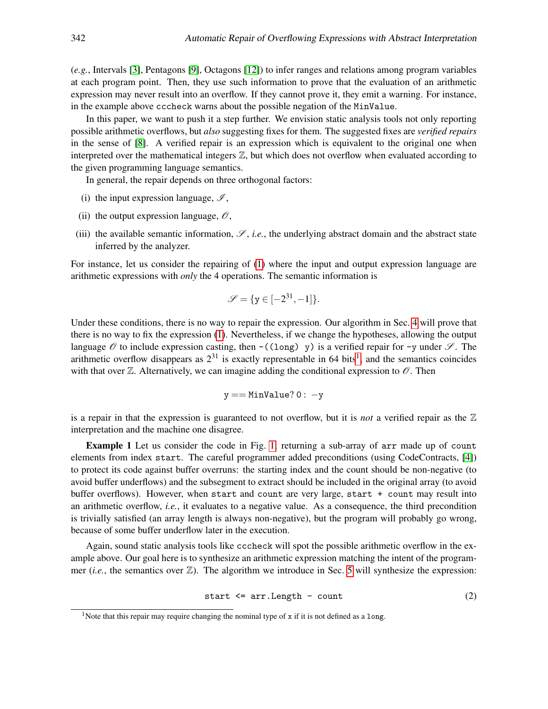(*e.g.*, Intervals [\[3\]](#page-15-1), Pentagons [\[9\]](#page-15-2), Octagons [\[12\]](#page-15-3)) to infer ranges and relations among program variables at each program point. Then, they use such information to prove that the evaluation of an arithmetic expression may never result into an overflow. If they cannot prove it, they emit a warning. For instance, in the example above cccheck warns about the possible negation of the MinValue.

In this paper, we want to push it a step further. We envision static analysis tools not only reporting possible arithmetic overflows, but *also* suggesting fixes for them. The suggested fixes are *verified repairs* in the sense of [\[8\]](#page-15-4). A verified repair is an expression which is equivalent to the original one when interpreted over the mathematical integers  $\mathbb{Z}$ , but which does not overflow when evaluated according to the given programming language semantics.

In general, the repair depends on three orthogonal factors:

- (i) the input expression language,  $\mathcal{I}$ ,
- (ii) the output expression language,  $\mathcal{O}$ ,
- (iii) the available semantic information,  $\mathscr{S}$ , *i.e.*, the underlying abstract domain and the abstract state inferred by the analyzer.

For instance, let us consider the repairing of [\(1\)](#page-0-0) where the input and output expression language are arithmetic expressions with *only* the 4 operations. The semantic information is

$$
\mathscr{S} = \{ \mathbf{y} \in [-2^{31}, -1] \}.
$$

Under these conditions, there is no way to repair the expression. Our algorithm in Sec. [4](#page-4-0) will prove that there is no way to fix the expression [\(1\)](#page-0-0). Nevertheless, if we change the hypotheses, allowing the output language  $\mathscr O$  to include expression casting, then  $-$  ((long) y) is a verified repair for -y under  $\mathscr S$ . The arithmetic overflow disappears as  $2^{31}$  $2^{31}$  $2^{31}$  is exactly representable in 64 bits<sup>1</sup>, and the semantics coincides with that over  $\mathbb Z$ . Alternatively, we can imagine adding the conditional expression to  $\mathscr O$ . Then

$$
y == \mathtt{MinValue?0: -y}
$$

is a repair in that the expression is guaranteed to not overflow, but it is *not* a verified repair as the  $\mathbb Z$ interpretation and the machine one disagree.

Example 1 Let us consider the code in Fig. [1,](#page-2-0) returning a sub-array of arr made up of count elements from index start. The careful programmer added preconditions (using CodeContracts, [\[4\]](#page-15-5)) to protect its code against buffer overruns: the starting index and the count should be non-negative (to avoid buffer underflows) and the subsegment to extract should be included in the original array (to avoid buffer overflows). However, when start and count are very large, start + count may result into an arithmetic overflow, *i.e.*, it evaluates to a negative value. As a consequence, the third precondition is trivially satisfied (an array length is always non-negative), but the program will probably go wrong, because of some buffer underflow later in the execution.

<span id="page-1-1"></span>Again, sound static analysis tools like cccheck will spot the possible arithmetic overflow in the example above. Our goal here is to synthesize an arithmetic expression matching the intent of the programmer (*i.e.*, the semantics over  $\mathbb{Z}$ ). The algorithm we introduce in Sec. [5](#page-7-0) will synthesize the expression:

$$
start \leq arr.length - count \tag{2}
$$

<span id="page-1-0"></span><sup>&</sup>lt;sup>1</sup>Note that this repair may require changing the nominal type of  $x$  if it is not defined as a long.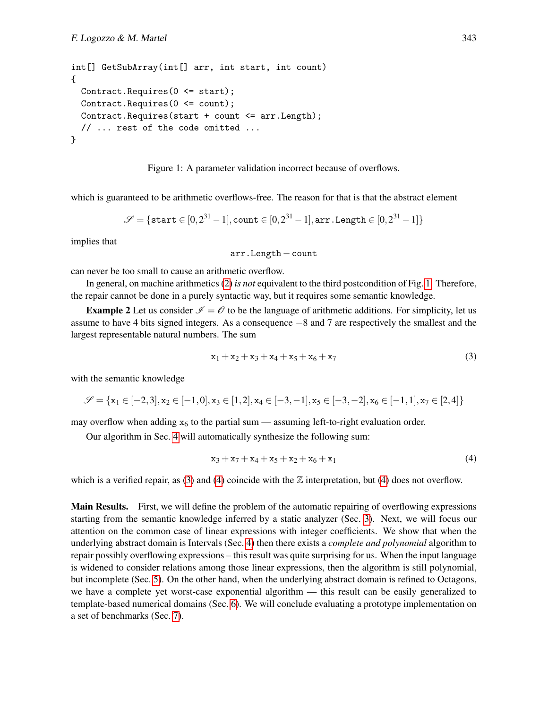```
int[] GetSubArray(int[] arr, int start, int count)
{
 Contract. Requires (0 \leq start);
  Contract.Requires(0 <= count);
  Contract.Requires(start + count <= arr.Length);
  // ... rest of the code omitted ...
}
```


<span id="page-2-0"></span>which is guaranteed to be arithmetic overflows-free. The reason for that is that the abstract element

$$
\mathscr{S} = \{ \texttt{start} \in [0, 2^{31} - 1], \texttt{count} \in [0, 2^{31} - 1], \texttt{arr.length} \in [0, 2^{31} - 1] \}
$$

implies that

arr.Length−count

can never be too small to cause an arithmetic overflow.

In general, on machine arithmetics [\(2\)](#page-1-1) *is not* equivalent to the third postcondition of Fig. [1.](#page-2-0) Therefore, the repair cannot be done in a purely syntactic way, but it requires some semantic knowledge.

**Example 2** Let us consider  $\mathcal{I} = \mathcal{O}$  to be the language of arithmetic additions. For simplicity, let us assume to have 4 bits signed integers. As a consequence −8 and 7 are respectively the smallest and the largest representable natural numbers. The sum

<span id="page-2-1"></span>
$$
x_1 + x_2 + x_3 + x_4 + x_5 + x_6 + x_7 \tag{3}
$$

with the semantic knowledge

$$
\mathscr{S} = \{x_1 \in [-2,3], x_2 \in [-1,0], x_3 \in [1,2], x_4 \in [-3,-1], x_5 \in [-3,-2], x_6 \in [-1,1], x_7 \in [2,4]\}
$$

may overflow when adding  $x_6$  to the partial sum — assuming left-to-right evaluation order.

Our algorithm in Sec. [4](#page-4-0) will automatically synthesize the following sum:

<span id="page-2-2"></span>
$$
x_3 + x_7 + x_4 + x_5 + x_2 + x_6 + x_1 \tag{4}
$$

which is a verified repair, as [\(3\)](#page-2-1) and [\(4\)](#page-2-2) coincide with the  $\mathbb Z$  interpretation, but (4) does not overflow.

Main Results. First, we will define the problem of the automatic repairing of overflowing expressions starting from the semantic knowledge inferred by a static analyzer (Sec. [3\)](#page-3-0). Next, we will focus our attention on the common case of linear expressions with integer coefficients. We show that when the underlying abstract domain is Intervals (Sec. [4\)](#page-4-0) then there exists a *complete and polynomial* algorithm to repair possibly overflowing expressions – this result was quite surprising for us. When the input language is widened to consider relations among those linear expressions, then the algorithm is still polynomial, but incomplete (Sec. [5\)](#page-7-0). On the other hand, when the underlying abstract domain is refined to Octagons, we have a complete yet worst-case exponential algorithm — this result can be easily generalized to template-based numerical domains (Sec. [6\)](#page-9-0). We will conclude evaluating a prototype implementation on a set of benchmarks (Sec. [7\)](#page-12-0).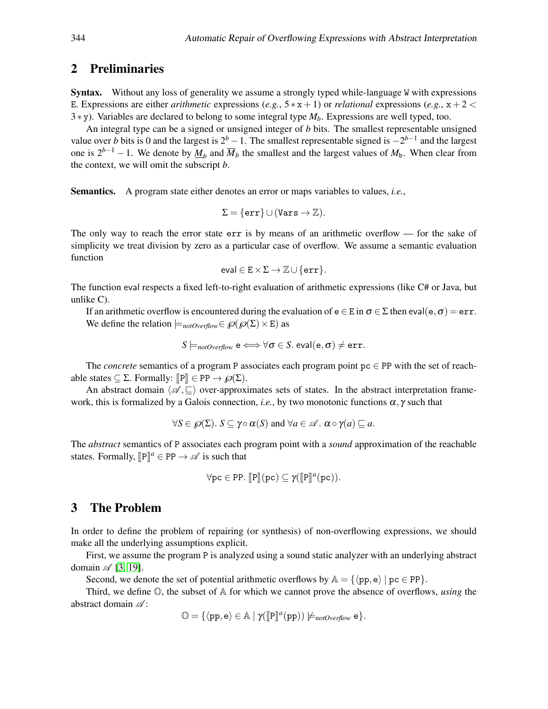## 2 Preliminaries

Syntax. Without any loss of generality we assume a strongly typed while-language W with expressions E. Expressions are either *arithmetic* expressions (*e.g.*,  $5*x+1$ ) or *relational* expressions (*e.g.*,  $x+2 <$ 3 ∗ y). Variables are declared to belong to some integral type *Mb*. Expressions are well typed, too.

An integral type can be a signed or unsigned integer of *b* bits. The smallest representable unsigned value over *b* bits is 0 and the largest is  $2^b - 1$ . The smallest representable signed is  $-2^{b-1}$  and the largest one is  $2^{b-1} - 1$ . We denote by  $\underline{M}_b$  and  $\overline{M}_b$  the smallest and the largest values of  $M_b$ . When clear from the context, we will omit the subscript *b*.

Semantics. A program state either denotes an error or maps variables to values, *i.e.*,

$$
\Sigma = \{\mathtt{err}\} \cup (\mathtt{Vars} \to \mathbb{Z}).
$$

The only way to reach the error state err is by means of an arithmetic overflow — for the sake of simplicity we treat division by zero as a particular case of overflow. We assume a semantic evaluation function

$$
\mathsf{eval} \in E \times \Sigma \to \mathbb{Z} \cup \{\mathtt{err}\}.
$$

The function eval respects a fixed left-to-right evaluation of arithmetic expressions (like C# or Java, but unlike C).

If an arithmetic overflow is encountered during the evaluation of  $e \in E$  in  $\sigma \in \Sigma$  then eval( $e, \sigma$ ) = err. We define the relation  $\models_{\text{notOverflow}} \in \mathcal{O}(\mathcal{O}(\Sigma) \times E)$  as

$$
S \models_{\textit{notOverflow}} \mathsf{e} \Longleftrightarrow \forall \sigma \in S. \textit{eval}(\mathsf{e}, \sigma) \neq \texttt{err}.
$$

The *concrete* semantics of a program P associates each program point pc ∈ PP with the set of reachable states  $\subseteq \Sigma$ . Formally:  $\llbracket P \rrbracket \in PP \rightarrow \wp(\Sigma)$ .

An abstract domain  $\langle \mathscr{A}, \sqsubset \rangle$  over-approximates sets of states. In the abstract interpretation framework, this is formalized by a Galois connection, *i.e.*, by two monotonic functions  $\alpha$ ,  $\gamma$  such that

$$
\forall S \in \mathscr{O}(\Sigma) \quad S \subseteq \gamma \circ \alpha(S) \text{ and } \forall a \in \mathscr{A} \quad \alpha \circ \gamma(a) \sqsubseteq a.
$$

The *abstract* semantics of P associates each program point with a *sound* approximation of the reachable states. Formally,  $[{\bf P}]^a \in {\bf PP} \to \mathscr{A}$  is such that

$$
\forall pc \in PP. \; [\![P]\!](pc) \subseteq \gamma([\![P]\!]^a(pc)).
$$

# <span id="page-3-0"></span>3 The Problem

In order to define the problem of repairing (or synthesis) of non-overflowing expressions, we should make all the underlying assumptions explicit.

First, we assume the program P is analyzed using a sound static analyzer with an underlying abstract domain  $\mathscr{A}$  [\[3,](#page-15-1) [19\]](#page-16-1).

Second, we denote the set of potential arithmetic overflows by  $A = \{ \langle pp, e \rangle | pc \in PP \}.$ 

Third, we define O, the subset of A for which we cannot prove the absence of overflows, *using* the abstract domain  $\mathscr{A}$ :

 $\mathbb{O} = \{ \langle pp, e \rangle \in \mathbb{A} \mid \gamma(\llbracket P \rrbracket^a(pp)) \not\models_{\textit{notOverflow}} e \}.$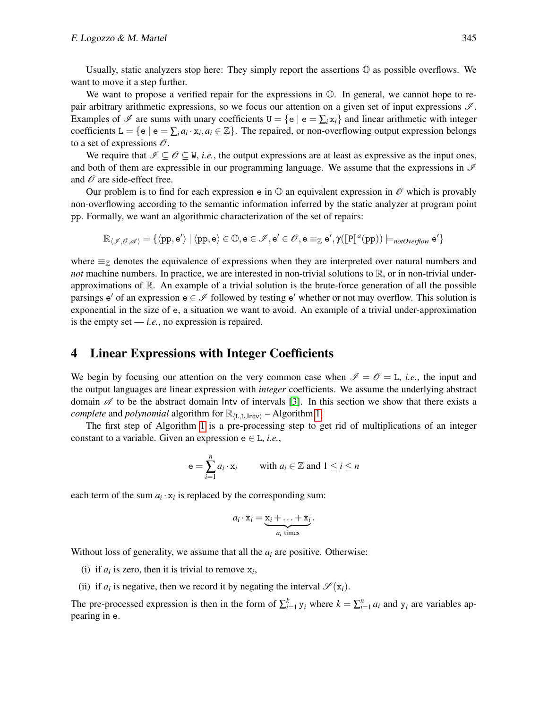Usually, static analyzers stop here: They simply report the assertions  $\mathbb O$  as possible overflows. We want to move it a step further.

We want to propose a verified repair for the expressions in  $\mathbb{O}$ . In general, we cannot hope to repair arbitrary arithmetic expressions, so we focus our attention on a given set of input expressions  $\mathcal{I}$ . Examples of  $\mathcal I$  are sums with unary coefficients  $U = \{e \mid e = \sum_i x_i\}$  and linear arithmetic with integer coefficients  $L = \{e \mid e = \sum_i a_i \cdot x_i, a_i \in \mathbb{Z}\}$ . The repaired, or non-overflowing output expression belongs to a set of expressions  $\mathcal{O}.$ 

We require that  $\mathcal{I} \subset \mathcal{O} \subset W$ , *i.e.*, the output expressions are at least as expressive as the input ones, and both of them are expressible in our programming language. We assume that the expressions in  $\mathscr I$ and  $\mathcal O$  are side-effect free.

Our problem is to find for each expression e in  $\mathbb{O}$  an equivalent expression in  $\mathscr{O}$  which is provably non-overflowing according to the semantic information inferred by the static analyzer at program point pp. Formally, we want an algorithmic characterization of the set of repairs:

 $\mathbb{R}_{\langle \mathscr{I}, \mathscr{O}, \mathscr{A} \rangle} = \{ \langle pp, e' \rangle \mid \langle pp, e \rangle \in \mathbb{O}, e \in \mathscr{I}, e' \in \mathscr{O}, e \equiv_{\mathbb{Z}} e', \gamma(\llbracket P \rrbracket^a(pp)) \models_{\textit{notOverflow}} e' \}$ 

where  $\equiv_{\mathbb{Z}}$  denotes the equivalence of expressions when they are interpreted over natural numbers and *not* machine numbers. In practice, we are interested in non-trivial solutions to  $\mathbb{R}$ , or in non-trivial underapproximations of  $\mathbb R$ . An example of a trivial solution is the brute-force generation of all the possible parsings  $e'$  of an expression  $e \in \mathcal{I}$  followed by testing  $e'$  whether or not may overflow. This solution is exponential in the size of e, a situation we want to avoid. An example of a trivial under-approximation is the empty set  $\frac{-i.e.}{-i.e.}$ , no expression is repaired.

#### <span id="page-4-0"></span>4 Linear Expressions with Integer Coefficients

We begin by focusing our attention on the very common case when  $\mathscr{I} = \mathscr{O} = L$ , *i.e.*, the input and the output languages are linear expression with *integer* coefficients. We assume the underlying abstract domain  $\mathscr A$  to be the abstract domain lntv of intervals [\[3\]](#page-15-1). In this section we show that there exists a *complete* and *polynomial* algorithm for  $\mathbb{R}_{\langle L,L, \text{Int}v \rangle}$  – Algorithm [1.](#page-5-0)

The first step of Algorithm [1](#page-5-0) is a pre-processing step to get rid of multiplications of an integer constant to a variable. Given an expression  $e \in L$ , *i.e.*,

$$
\mathsf{e} = \sum_{i=1}^{n} a_i \cdot \mathsf{x}_i \qquad \text{with } a_i \in \mathbb{Z} \text{ and } 1 \leq i \leq n
$$

each term of the sum  $a_i \cdot x_i$  is replaced by the corresponding sum:

$$
a_i \cdot x_i = \underbrace{x_i + \ldots + x_i}_{a_i \text{ times}}.
$$

Without loss of generality, we assume that all the *a<sup>i</sup>* are positive. Otherwise:

- (i) if  $a_i$  is zero, then it is trivial to remove  $x_i$ ,
- (ii) if  $a_i$  is negative, then we record it by negating the interval  $\mathscr{S}(x_i)$ .

The pre-processed expression is then in the form of  $\sum_{i=1}^{k} y_i$  where  $k = \sum_{i=1}^{n} a_i$  and  $y_i$  are variables appearing in e.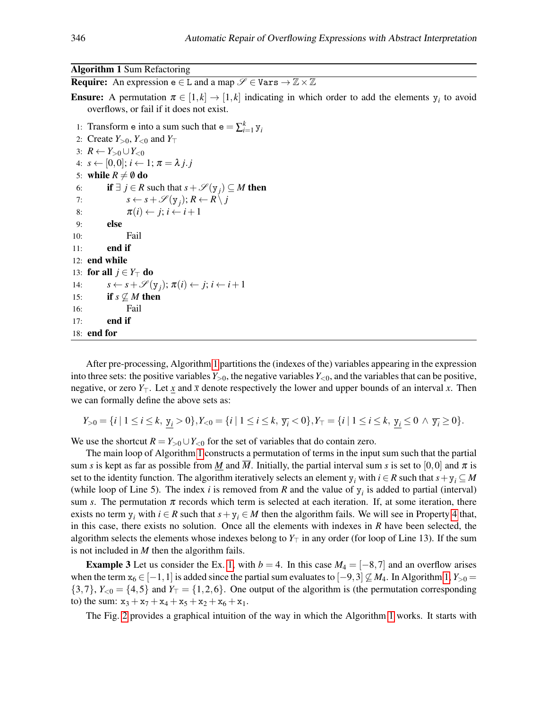#### Algorithm 1 Sum Refactoring

<span id="page-5-0"></span>**Require:** An expression  $e \in L$  and a map  $\mathscr{S} \in \text{Vars} \to \mathbb{Z} \times \mathbb{Z}$ 

**Ensure:** A permutation  $\pi \in [1, k] \rightarrow [1, k]$  indicating in which order to add the elements  $y_i$  to avoid overflows, or fail if it does not exist.

- 1: Transform e into a sum such that  $e = \sum_{i=1}^{k} y_i$ 2: Create  $Y_{>0}$ ,  $Y_{<0}$  and  $Y_{\top}$ 3:  $R$  ←  $Y_{>0}$  ∪  $Y_{<0}$ 4:  $s \leftarrow [0,0]; i \leftarrow 1; \pi = \lambda j. j$ 5: while  $R \neq \emptyset$  do 6: **if**  $\exists j \in R$  such that  $s + \mathscr{S}(y_j) \subseteq M$  then 7:  $s \leftarrow s + \mathscr{S}(y_j); R \leftarrow R \setminus j$ 8:  $\pi(i) \leftarrow j; i \leftarrow i+1$ 9: else 10: Fail  $11:$  end if 12: end while 13: **for all**  $j \in Y_\top$  **do**
- 14:  $s \leftarrow s + \mathcal{S}(y_j); \pi(i) \leftarrow j; i \leftarrow i+1$ 15: **if**  $s \not\subseteq M$  then 16: Fail

17: end if 18: end for

After pre-processing, Algorithm [1](#page-5-0) partitions the (indexes of the) variables appearing in the expression into three sets: the positive variables  $Y_{>0}$ , the negative variables  $Y_{<0}$ , and the variables that can be positive, negative, or zero  $Y_\top$ . Let  $\underline{x}$  and  $\overline{x}$  denote respectively the lower and upper bounds of an interval *x*. Then we can formally define the above sets as:

$$
Y_{>0} = \{i \mid 1 \le i \le k, \underline{y_i} > 0\}, Y_{<0} = \{i \mid 1 \le i \le k, \overline{y_i} < 0\}, Y_{\top} = \{i \mid 1 \le i \le k, \underline{y_i} \le 0 \land \overline{y_i} \ge 0\}.
$$

We use the shortcut  $R = Y_{>0} \cup Y_{<0}$  for the set of variables that do contain zero.

The main loop of Algorithm [1](#page-5-0) constructs a permutation of terms in the input sum such that the partial sum *s* is kept as far as possible from <u>*M*</u> and *M*. Initially, the partial interval sum *s* is set to [0,0] and  $\pi$  is set to the identity function. The algorithm iteratively selects an element y<sub>i</sub> with  $i \in R$  such that  $s + y_i \subseteq M$ (while loop of Line 5). The index *i* is removed from *R* and the value of  $y_i$  is added to partial (interval) sum *s*. The permutation  $\pi$  records which term is selected at each iteration. If, at some iteration, there exists no term  $y_i$  with  $i \in R$  such that  $s + y_i \in M$  then the algorithm fails. We will see in Property [4](#page-6-0) that, in this case, there exists no solution. Once all the elements with indexes in *R* have been selected, the algorithm selects the elements whose indexes belong to  $Y<sub>T</sub>$  in any order (for loop of Line 13). If the sum is not included in *M* then the algorithm fails.

**Example 3** Let us consider the Ex. [1,](#page-2-0) with  $b = 4$ . In this case  $M_4 = \begin{bmatrix} -8 \\ 7 \end{bmatrix}$  and an overflow arises when the term  $x_6 \in [-1,1]$  is added since the partial sum evaluates to  $[-9,3] \not\subseteq M_4$ . In Algorithm [1,](#page-5-0)  $Y_{>0} =$  $\{3,7\}$ ,  $Y_{\leq 0} = \{4,5\}$  and  $Y_{\perp} = \{1,2,6\}$ . One output of the algorithm is (the permutation corresponding to) the sum:  $x_3 + x_7 + x_4 + x_5 + x_2 + x_6 + x_1$ .

The Fig. [2](#page-6-0) provides a graphical intuition of the way in which the Algorithm [1](#page-5-0) works. It starts with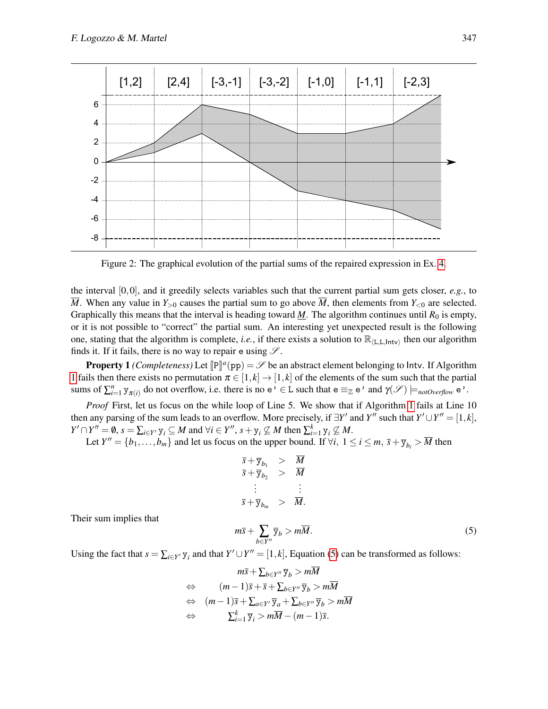

<span id="page-6-0"></span>Figure 2: The graphical evolution of the partial sums of the repaired expression in Ex. [4.](#page-6-0)

the interval  $[0,0]$ , and it greedily selects variables such that the current partial sum gets closer,  $e.g.,$  to  $\overline{M}$ . When any value in  $Y_{>0}$  causes the partial sum to go above  $\overline{M}$ , then elements from  $Y_{<0}$  are selected. Graphically this means that the interval is heading toward  $M$ . The algorithm continues until  $R_0$  is empty, or it is not possible to "correct" the partial sum. An interesting yet unexpected result is the following one, stating that the algorithm is complete, *i.e.*, if there exists a solution to  $\mathbb{R}_{(L,L,\text{Intv})}$  then our algorithm finds it. If it fails, there is no way to repair e using  $\mathscr{S}$ .

**Property 1** *(Completeness)* Let  $[\mathbb{P}]^a$  (pp) =  $\mathcal{S}$  be an abstract element belonging to Intv. If Algorithm [1](#page-5-0) fails then there exists no permutation  $\pi \in [1, k] \to [1, k]$  of the elements of the sum such that the partial sums of  $\sum_{i=1}^n y_{\pi(i)}$  do not overflow, i.e. there is no  $e' \in L$  such that  $e \equiv_{\mathbb{Z}} e'$  and  $\gamma(\mathscr{S}) \models_{\text{notOverflow}} e'$ .

*Proof* First, let us focus on the while loop of Line 5. We show that if Algorithm [1](#page-5-0) fails at Line 10 then any parsing of the sum leads to an overflow. More precisely, if  $\exists Y'$  and *Y*<sup>*n*</sup> such that  $Y' \cup Y'' = [1, k]$ ,  $Y' \cap Y'' = \emptyset$ ,  $s = \sum_{i \in Y'} y_i \subseteq M$  and  $\forall i \in Y'', s + y_i \nsubseteq M$  then  $\sum_{i=1}^{k} y_i \nsubseteq M$ .

Let  $Y'' = \{b_1, \ldots, b_m\}$  and let us focus on the upper bound. If  $\forall i, 1 \le i \le m, \overline{s} + \overline{y}_{b_i} > \overline{M}$  then

$$
\begin{array}{rcl}\n\overline{s} + \overline{y}_{b_1} > & \overline{M} \\
\overline{s} + \overline{y}_{b_2} > & \overline{M} \\
\vdots & & \vdots \\
\overline{s} + \overline{y}_{b_m} > & \overline{M}\n\end{array}
$$

Their sum implies that

$$
m\overline{s} + \sum_{b \in Y''} \overline{y}_b > m\overline{M}.
$$
 (5)

Using the fact that  $s = \sum_{i \in Y} y_i$  and that  $Y' \cup Y'' = [1, k]$ , Equation [\(5\)](#page-6-1) can be transformed as follows:

<span id="page-6-1"></span>
$$
m\overline{s} + \sum_{b \in Y''} \overline{y}_b > m\overline{M}
$$
  
\n
$$
\Leftrightarrow \qquad (m-1)\overline{s} + \overline{s} + \sum_{b \in Y''} \overline{y}_b > m\overline{M}
$$
  
\n
$$
\Leftrightarrow \qquad (m-1)\overline{s} + \sum_{a \in Y'} \overline{y}_a + \sum_{b \in Y''} \overline{y}_b > m\overline{M}
$$
  
\n
$$
\Leftrightarrow \qquad \sum_{i=1}^k \overline{y}_i > m\overline{M} - (m-1)\overline{s}.
$$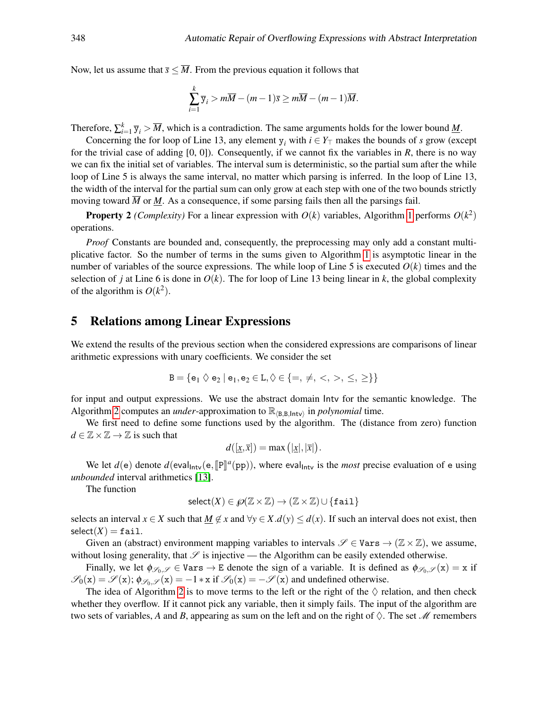Now, let us assume that  $\bar{s} < \overline{M}$ . From the previous equation it follows that

$$
\sum_{i=1}^k \overline{y}_i > m\overline{M} - (m-1)\overline{s} \ge m\overline{M} - (m-1)\overline{M}.
$$

Therefore,  $\sum_{i=1}^{k} \overline{y}_i > \overline{M}$ , which is a contradiction. The same arguments holds for the lower bound <u>M</u>.

Concerning the for loop of Line 13, any element  $y_i$  with  $i \in Y_\top$  makes the bounds of *s* grow (except for the trivial case of adding [0, 0]). Consequently, if we cannot fix the variables in *R*, there is no way we can fix the initial set of variables. The interval sum is deterministic, so the partial sum after the while loop of Line 5 is always the same interval, no matter which parsing is inferred. In the loop of Line 13, the width of the interval for the partial sum can only grow at each step with one of the two bounds strictly moving toward  $\overline{M}$  or  $M$ . As a consequence, if some parsing fails then all the parsings fail.

**Property 2** *(Complexity)* For a linear expression with  $O(k)$  variables, Algorithm [1](#page-5-0) performs  $O(k^2)$ operations.

*Proof* Constants are bounded and, consequently, the preprocessing may only add a constant multiplicative factor. So the number of terms in the sums given to Algorithm [1](#page-5-0) is asymptotic linear in the number of variables of the source expressions. The while loop of Line 5 is executed  $O(k)$  times and the selection of *j* at Line 6 is done in  $O(k)$ . The for loop of Line 13 being linear in k, the global complexity of the algorithm is  $O(k^2)$ .

#### <span id="page-7-0"></span>5 Relations among Linear Expressions

We extend the results of the previous section when the considered expressions are comparisons of linear arithmetic expressions with unary coefficients. We consider the set

$$
B=\{e_1 \Diamond e_2 \mid e_1,e_2 \in L, \Diamond \in \{=,\neq,<,>,\leq,\geq\}\}
$$

for input and output expressions. We use the abstract domain Intv for the semantic knowledge. The Algorithm [2](#page-8-0) computes an *under*-approximation to  $\mathbb{R}_{\langle B,B,\text{Intv}\rangle}$  in *polynomial* time.

We first need to define some functions used by the algorithm. The (distance from zero) function  $d \in \mathbb{Z} \times \mathbb{Z} \rightarrow \mathbb{Z}$  is such that

$$
d([\underline{x}, \overline{x}]) = \max ([\underline{x}], |\overline{x}|).
$$

We let  $d(e)$  denote  $d(eval_{\text{Intv}}(e, [\mathbb{P}]]^a(pp))$ , where eval<sub>Intv</sub> is the *most* precise evaluation of e using a unded interval exitencies [12] *unbounded* interval arithmetics [\[13\]](#page-15-6).

The function

$$
\mathrm{select}(X) \in \mathscr{O}(\mathbb{Z} \times \mathbb{Z}) \to (\mathbb{Z} \times \mathbb{Z}) \cup \{\mathtt{fail}\}
$$

selects an interval  $x \in X$  such that  $M \notin X$  and  $\forall y \in X$ .*d*(*y*)  $\leq d(x)$ . If such an interval does not exist, then  $select(X) = fail.$ 

Given an (abstract) environment mapping variables to intervals  $\mathscr{S} \in \text{Vars} \to (\mathbb{Z} \times \mathbb{Z})$ , we assume, without losing generality, that  $\mathscr S$  is injective — the Algorithm can be easily extended otherwise.

Finally, we let  $\phi_{\mathscr{S}_0,\mathscr{S}} \in \text{Vars} \to E$  denote the sign of a variable. It is defined as  $\phi_{\mathscr{S}_0,\mathscr{S}}(x) = x$  if  $\mathscr{S}_0(x) = \mathscr{S}(x)$ ;  $\phi_{\mathscr{S}_0,\mathscr{S}}(x) = -1 * x$  if  $\mathscr{S}_0(x) = -\mathscr{S}(x)$  and undefined otherwise.

The idea of Algorithm [2](#page-8-0) is to move terms to the left or the right of the  $\Diamond$  relation, and then check whether they overflow. If it cannot pick any variable, then it simply fails. The input of the algorithm are two sets of variables, A and B, appearing as sum on the left and on the right of  $\Diamond$ . The set M remembers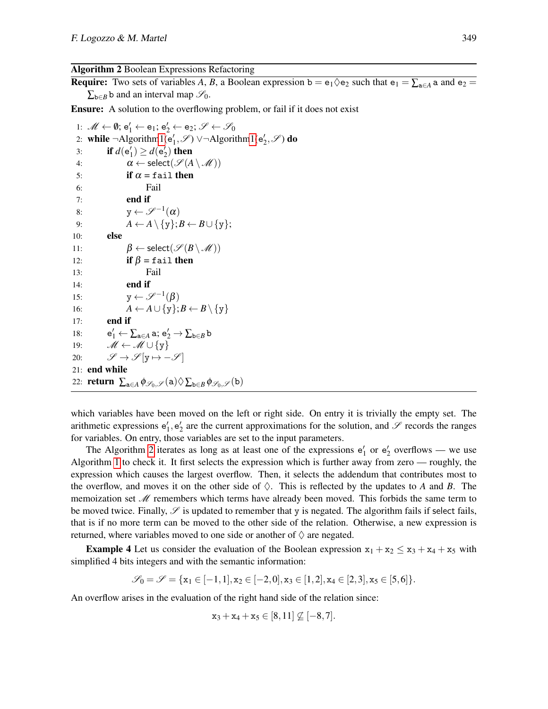Algorithm 2 Boolean Expressions Refactoring

<span id="page-8-0"></span>**Require:** Two sets of variables A, B, a Boolean expression  $b = e_1 \lozenge e_2$  such that  $e_1 = \sum_{a \in A} a$  and  $e_2 =$  $\sum_{b \in B} b$  and an interval map  $\mathscr{S}_0$ .

Ensure: A solution to the overflowing problem, or fail if it does not exist

1:  $\mathscr{M} \leftarrow \emptyset$ ;  $e'_1 \leftarrow e_1$ ;  $e'_2 \leftarrow e_2$ ;  $\mathscr{S} \leftarrow \mathscr{S}_0$ 2: while ¬Algorith[m1\(](#page-5-0) $e'_1$ ,  $\mathscr{S}$ )  $\vee$ ¬Algorithm1( $e'_2$ ,  $\mathscr{S}$ ) do 3: **if**  $d(e'_1) \geq d(e'_2)$  then 4:  $\alpha \leftarrow \text{select}(\mathscr{S}(A \setminus \mathscr{M}))$ 5: if  $\alpha$  = fail then 6: Fail 7: end if 8:  $y \leftarrow \mathscr{S}^{-1}(\alpha)$ 9:  $A \leftarrow A \setminus \{y\}; B \leftarrow B \cup \{y\};$ 10: else 11:  $\beta \leftarrow \text{select}(\mathscr{S}(B \setminus \mathscr{M}))$ 12: if  $\beta = \text{fail}$  then 13: Fail 14: end if 15:  $y \leftarrow \mathscr{S}^{-1}(\beta)$ 16:  $A \leftarrow A \cup \{y\}; B \leftarrow B \setminus \{y\}$  $17:$  end if 18:  $\gamma_1' \leftarrow \sum_{\mathtt{a} \in A} \mathtt{a}; \mathtt{e}'_2 \rightarrow \sum_{\mathtt{b} \in B} \mathtt{b}$ 19:  $M \leftarrow M \cup \{y\}$ 20:  $\mathscr{S} \to \mathscr{S}[\mathbf{y} \mapsto -\mathscr{S}]$ 21: end while 22: **return**  $\sum_{a \in A} \phi_{\mathscr{S}_0, \mathscr{S}}(a) \Diamond \sum_{b \in B} \phi_{\mathscr{S}_0, \mathscr{S}}(b)$ 

which variables have been moved on the left or right side. On entry it is trivially the empty set. The arithmetic expressions  $e'_1, e'_2$  are the current approximations for the solution, and  $\mathscr S$  records the ranges for variables. On entry, those variables are set to the input parameters.

The Algorithm [2](#page-8-0) iterates as long as at least one of the expressions  $e'_1$  or  $e'_2$  overflows — we use Algorithm [1](#page-5-0) to check it. It first selects the expression which is further away from zero — roughly, the expression which causes the largest overflow. Then, it selects the addendum that contributes most to the overflow, and moves it on the other side of  $\Diamond$ . This is reflected by the updates to *A* and *B*. The memoization set  $\mathcal M$  remembers which terms have already been moved. This forbids the same term to be moved twice. Finally,  $\mathscr S$  is updated to remember that y is negated. The algorithm fails if select fails, that is if no more term can be moved to the other side of the relation. Otherwise, a new expression is returned, where variables moved to one side or another of  $\Diamond$  are negated.

**Example 4** Let us consider the evaluation of the Boolean expression  $x_1 + x_2 \le x_3 + x_4 + x_5$  with simplified 4 bits integers and with the semantic information:

$$
\mathscr{S}_0=\mathscr{S}=\{x_1\in [-1,1], x_2\in [-2,0], x_3\in [1,2], x_4\in [2,3], x_5\in [5,6]\}.
$$

An overflow arises in the evaluation of the right hand side of the relation since:

$$
x_3 + x_4 + x_5 \in [8, 11] \not\subseteq [-8, 7].
$$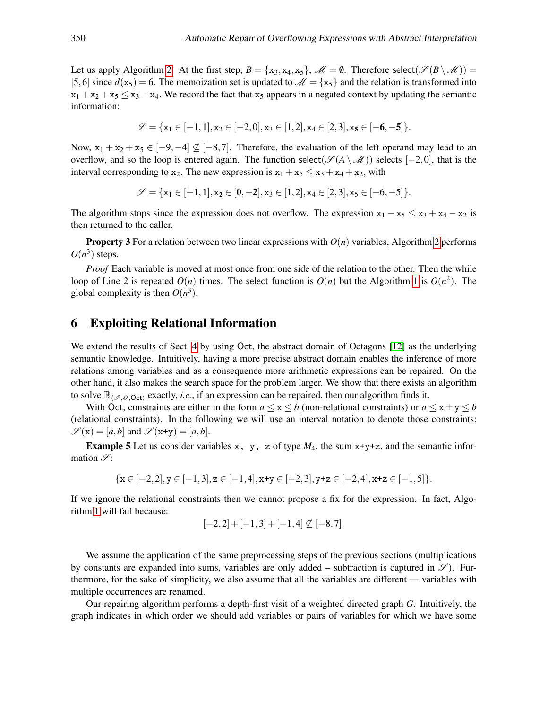Let us apply Algorithm [2.](#page-8-0) At the first step,  $B = \{x_3, x_4, x_5\}$ ,  $\mathcal{M} = \emptyset$ . Therefore select( $\mathcal{S}(B \setminus \mathcal{M})$ ) = [5,6] since  $d(x_5) = 6$ . The memoization set is updated to  $\mathcal{M} = \{x_5\}$  and the relation is transformed into  $x_1 + x_2 + x_5 \le x_3 + x_4$ . We record the fact that  $x_5$  appears in a negated context by updating the semantic information:

$$
\mathscr{S} = \{x_1 \in [-1,1], x_2 \in [-2,0], x_3 \in [1,2], x_4 \in [2,3], x_5 \in [-6,-5]\}.
$$

Now,  $x_1 + x_2 + x_5 \in [-9, -4] \nsubseteq [-8, 7]$ . Therefore, the evaluation of the left operand may lead to an overflow, and so the loop is entered again. The function select( $\mathscr{S}(A \setminus \mathscr{M})$ ) selects [−2,0], that is the interval corresponding to  $x_2$ . The new expression is  $x_1 + x_5 \le x_3 + x_4 + x_2$ , with

$$
\mathscr{S}=\{x_1\in [-1,1], x_2\in [\textbf{0},-\textbf{2}], x_3\in [1,2], x_4\in [2,3], x_5\in [-6,-5]\}.
$$

The algorithm stops since the expression does not overflow. The expression  $x_1 - x_5 \le x_3 + x_4 - x_2$  is then returned to the caller.

**Property 3** For a relation between two linear expressions with  $O(n)$  variables, Algorithm [2](#page-8-0) performs  $O(n^3)$  steps.

*Proof* Each variable is moved at most once from one side of the relation to the other. Then the while loop of Line 2 is repeated  $O(n)$  times. The select function is  $O(n)$  but the Algorithm [1](#page-5-0) is  $O(n^2)$ . The global complexity is then  $O(n^3)$ .

#### <span id="page-9-0"></span>6 Exploiting Relational Information

We extend the results of Sect. [4](#page-4-0) by using Oct, the abstract domain of Octagons [\[12\]](#page-15-3) as the underlying semantic knowledge. Intuitively, having a more precise abstract domain enables the inference of more relations among variables and as a consequence more arithmetic expressions can be repaired. On the other hand, it also makes the search space for the problem larger. We show that there exists an algorithm to solve  $\mathbb{R}_{\ell,\ell,\theta, \mathsf{Oct}}$  exactly, *i.e.*, if an expression can be repaired, then our algorithm finds it.

With Oct, constraints are either in the form  $a \le x \le b$  (non-relational constraints) or  $a \le x \pm y \le b$ (relational constraints). In the following we will use an interval notation to denote those constraints:  $\mathscr{S}(\mathbf{x}) = [a, b]$  and  $\mathscr{S}(\mathbf{x} + \mathbf{y}) = [a, b]$ .

**Example 5** Let us consider variables x, y, z of type  $M_4$ , the sum  $x+y+z$ , and the semantic information  $\mathscr{S}$ :

$$
\{x\in [-2,2], y\in [-1,3], z\in [-1,4], x\text{+}y\in [-2,3], y\text{+}z\in [-2,4], x\text{+}z\in [-1,5]\}.
$$

If we ignore the relational constraints then we cannot propose a fix for the expression. In fact, Algorithm [1](#page-5-0) will fail because:

$$
[-2,2]+[-1,3]+[-1,4] \not\subseteq [-8,7].
$$

We assume the application of the same preprocessing steps of the previous sections (multiplications by constants are expanded into sums, variables are only added – subtraction is captured in  $\mathscr{S}$ ). Furthermore, for the sake of simplicity, we also assume that all the variables are different — variables with multiple occurrences are renamed.

Our repairing algorithm performs a depth-first visit of a weighted directed graph *G*. Intuitively, the graph indicates in which order we should add variables or pairs of variables for which we have some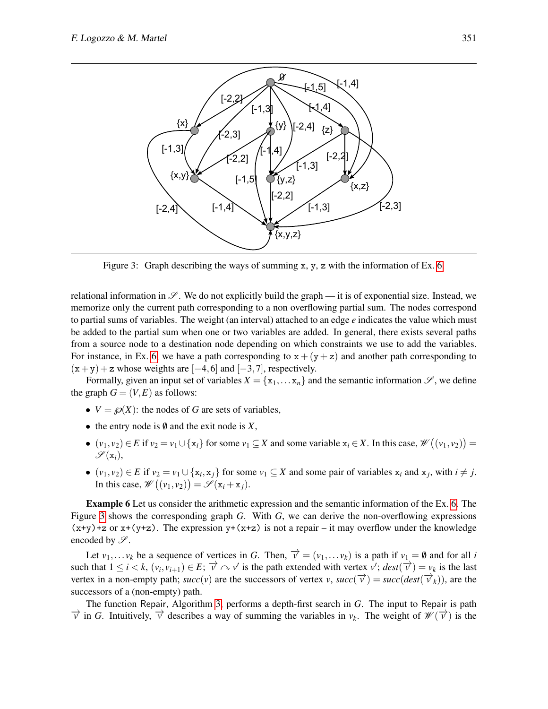

<span id="page-10-0"></span>Figure 3: Graph describing the ways of summing x, y, z with the information of Ex. [6.](#page-9-0)

relational information in  $\mathscr{S}$ . We do not explicitly build the graph — it is of exponential size. Instead, we memorize only the current path corresponding to a non overflowing partial sum. The nodes correspond to partial sums of variables. The weight (an interval) attached to an edge *e* indicates the value which must be added to the partial sum when one or two variables are added. In general, there exists several paths from a source node to a destination node depending on which constraints we use to add the variables. For instance, in Ex. [6,](#page-9-0) we have a path corresponding to  $x + (y + z)$  and another path corresponding to  $(x+y) + z$  whose weights are  $[-4, 6]$  and  $[-3, 7]$ , respectively.

Formally, given an input set of variables  $X = \{x_1, \ldots, x_n\}$  and the semantic information  $\mathscr{S}$ , we define the graph  $G = (V, E)$  as follows:

- $V = \mathcal{P}(X)$ : the nodes of *G* are sets of variables,
- the entry node is  $\emptyset$  and the exit node is  $X$ ,
- $(v_1, v_2) \in E$  if  $v_2 = v_1 \cup \{x_i\}$  for some  $v_1 \subseteq X$  and some variable  $x_i \in X$ . In this case,  $\mathscr{W}((v_1, v_2)) =$  $\mathscr{S}(\mathbf{x}_i),$
- $(v_1, v_2) \in E$  if  $v_2 = v_1 \cup \{x_i, x_j\}$  for some  $v_1 \subseteq X$  and some pair of variables  $x_i$  and  $x_j$ , with  $i \neq j$ . In this case,  $\mathscr{W}((v_1, v_2)) = \mathscr{S}(\mathbf{x}_i + \mathbf{x}_j).$

Example 6 Let us consider the arithmetic expression and the semantic information of the Ex. [6.](#page-9-0) The Figure [3](#page-10-0) shows the corresponding graph *G*. With *G*, we can derive the non-overflowing expressions  $(x+y)+z$  or  $x+(y+z)$ . The expression  $y+(x+z)$  is not a repair – it may overflow under the knowledge encoded by  $\mathscr{S}$ .

Let  $v_1, \ldots v_k$  be a sequence of vertices in *G*. Then,  $\vec{v} = (v_1, \ldots v_k)$  is a path if  $v_1 = \emptyset$  and for all *i* such that  $1 \le i \le k$ ,  $(v_i, v_{i+1}) \in E$ ;  $\overrightarrow{v} \sim v'$  is the path extended with vertex  $v'$ ;  $dest(\overrightarrow{v}) = v_k$  is the last vertex in a non-empty path;  $succ(v)$  are the successors of vertex *v*,  $succ(\vec{v}) = succ(det(\vec{v}_k))$ , are the successors of a (non-empty) path.

The function Repair, Algorithm [3,](#page-11-0) performs a depth-first search in *G*. The input to Repair is path  $\overrightarrow{v}$  in *G*. Intuitively,  $\overrightarrow{v}$  describes a way of summing the variables in  $v_k$ . The weight of  $\mathscr{W}(\overrightarrow{v})$  is the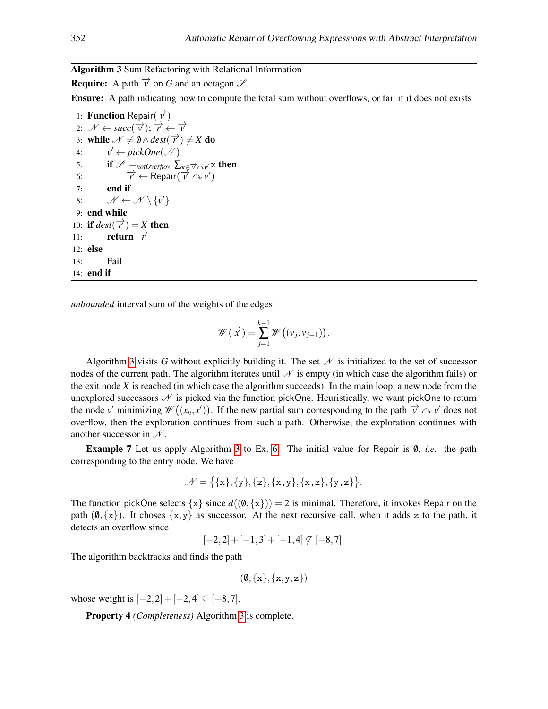#### Algorithm 3 Sum Refactoring with Relational Information

<span id="page-11-0"></span>**Require:** A path  $\overrightarrow{v}$  on *G* and an octagon  $\mathscr{S}$ 

Ensure: A path indicating how to compute the total sum without overflows, or fail if it does not exists

1: **Function** Repair( $\overrightarrow{v}$ ) 2:  $\mathcal{N} \leftarrow succ(\overrightarrow{v}); \overrightarrow{r} \leftarrow \overrightarrow{v}$ 3: while  $\mathcal{N} \neq \emptyset \wedge dest(\overrightarrow{r}) \neq X$  do 4: *v*  $v' \leftarrow pickOne(\mathcal{N})$ 5: if  $\mathscr{S}\models_{\textit{notOverflow}}\sum_{\mathrm{v}\in\overrightarrow{v}\curvearrowright\mathsf{v}'}$  x then 6:  $\overrightarrow{r} \leftarrow \text{Repair}(\overrightarrow{v} \cap v')$ 7: end if 8:  $\mathcal{N} \leftarrow \mathcal{N} \setminus \{v'\}$ 9: end while 10: if  $dest(\overrightarrow{r}) = X$  then 11: **return**  $\overrightarrow{r}$ 12: else 13: Fail 14: end if

*unbounded* interval sum of the weights of the edges:

$$
\mathscr{W}(\overrightarrow{x}) = \sum_{j=1}^{k-1} \mathscr{W}((v_j, v_{j+1})).
$$

Algorithm [3](#page-11-0) visits G without explicitly building it. The set  $\mathcal N$  is initialized to the set of successor nodes of the current path. The algorithm iterates until  $\mathcal N$  is empty (in which case the algorithm fails) or the exit node *X* is reached (in which case the algorithm succeeds). In the main loop, a new node from the unexplored successors  $N$  is picked via the function pickOne. Heuristically, we want pickOne to return the node *v*' minimizing  $\mathscr{W}((x_n, x'))$ . If the new partial sum corresponding to the path  $\vec{v} \sim v'$  does not overflow, then the exploration continues from such a path. Otherwise, the exploration continues with another successor in  $\mathcal{N}$ .

**Example 7** Let us apply Algorithm [3](#page-11-0) to Ex. [6.](#page-9-0) The initial value for Repair is 0, *i.e.* the path corresponding to the entry node. We have

$$
\mathcal{N} = \{ \{x\}, \{y\}, \{z\}, \{x,y\}, \{x,z\}, \{y,z\} \}.
$$

The function pickOne selects  $\{x\}$  since  $d((0,\{x\})) = 2$  is minimal. Therefore, it invokes Repair on the path  $(0, \{x\})$ . It choses  $\{x, y\}$  as successor. At the next recursive call, when it adds z to the path, it detects an overflow since

 $[-2,2] + [-1,3] + [-1,4] \nsubseteq [-8,7].$ 

The algorithm backtracks and finds the path

$$
(\emptyset, \{x\}, \{x,y,z\})
$$

whose weight is  $[-2,2] + [-2,4] \subseteq [-8,7]$ .

Property 4 *(Completeness)* Algorithm [3](#page-11-0) is complete.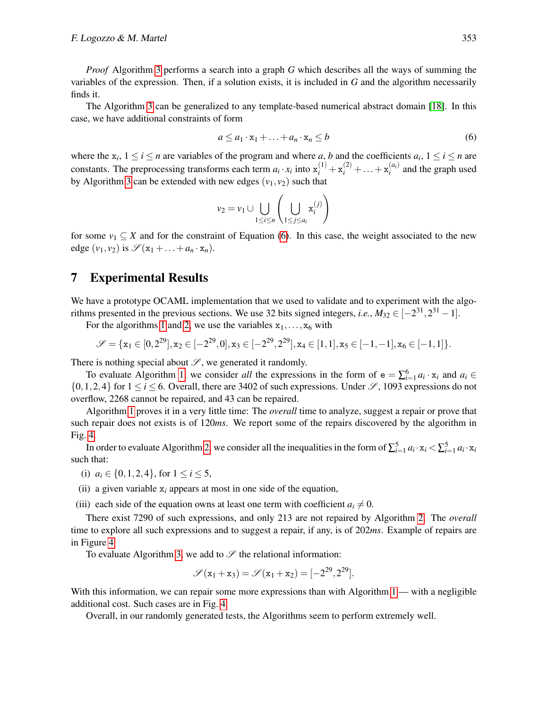*Proof* Algorithm [3](#page-11-0) performs a search into a graph *G* which describes all the ways of summing the variables of the expression. Then, if a solution exists, it is included in *G* and the algorithm necessarily finds it.

The Algorithm [3](#page-11-0) can be generalized to any template-based numerical abstract domain [\[18\]](#page-15-7). In this case, we have additional constraints of form

<span id="page-12-1"></span>
$$
a \le a_1 \cdot x_1 + \ldots + a_n \cdot x_n \le b \tag{6}
$$

where the  $x_i$ ,  $1 \le i \le n$  are variables of the program and where *a*, *b* and the coefficients  $a_i$ ,  $1 \le i \le n$  are constants. The preprocessing transforms each term  $a_i \cdot x_i$  into  $x_i^{(1)} + x_i^{(2)} + \ldots + x_i^{(a_i)}$  $i^{(u_i)}$  and the graph used by Algorithm [3](#page-11-0) can be extended with new edges  $(v_1, v_2)$  such that

$$
v_2 = v_1 \cup \bigcup_{1 \le i \le n} \left( \bigcup_{1 \le j \le a_i} \mathbf{x}_i^{(j)} \right)
$$

for some  $v_1 \subseteq X$  and for the constraint of Equation [\(6\)](#page-12-1). In this case, the weight associated to the new edge  $(v_1, v_2)$  is  $\mathscr{S}(\mathbf{x}_1 + \dots + a_n \cdot \mathbf{x}_n)$ .

#### <span id="page-12-0"></span>7 Experimental Results

We have a prototype OCAML implementation that we used to validate and to experiment with the algorithms presented in the previous sections. We use 32 bits signed integers, *i.e.*,  $M_{32} \in [-2^{31}, 2^{31} - 1]$ .

For the algorithms [1](#page-5-0) and [2,](#page-8-0) we use the variables  $x_1, \ldots, x_6$  with

$$
\mathscr{S} = \{x_1 \in [0, 2^{29}], x_2 \in [-2^{29}, 0], x_3 \in [-2^{29}, 2^{29}], x_4 \in [1, 1], x_5 \in [-1, -1], x_6 \in [-1, 1]\}.
$$

There is nothing special about  $\mathcal{S}$ , we generated it randomly.

To evaluate Algorithm [1,](#page-5-0) we consider *all* the expressions in the form of  $e = \sum_{i=1}^{6} a_i \cdot x_i$  and  $a_i \in$  $\{0,1,2,4\}$  for  $1 \le i \le 6$ . Overall, there are 3402 of such expressions. Under  $\mathscr{S}$ , 1093 expressions do not overflow, 2268 cannot be repaired, and 43 can be repaired.

Algorithm [1](#page-5-0) proves it in a very little time: The *overall* time to analyze, suggest a repair or prove that such repair does not exists is of 120*ms*. We report some of the repairs discovered by the algorithm in Fig. [4.](#page-13-0)

In order to evaluate Algorithm [2,](#page-8-0) we consider all the inequalities in the form of  $\sum_{i=1}^{5} a_i \cdot x_i < \sum_{i=1}^{5} a_i \cdot x_i$ such that:

(i)  $a_i \in \{0, 1, 2, 4\}$ , for  $1 \le i \le 5$ ,

(ii) a given variable  $x_i$  appears at most in one side of the equation,

(iii) each side of the equation owns at least one term with coefficient  $a_i \neq 0$ .

There exist 7290 of such expressions, and only 213 are not repaired by Algorithm [2.](#page-8-0) The *overall* time to explore all such expressions and to suggest a repair, if any, is of 202*ms*. Example of repairs are in Figure [4.](#page-13-0)

To evaluate Algorithm [3,](#page-11-0) we add to  $\mathscr S$  the relational information:

$$
\mathscr{S}(x_1 + x_3) = \mathscr{S}(x_1 + x_2) = [-2^{29}, 2^{29}].
$$

With this information, we can repair some more expressions than with Algorithm  $1 -$  with a negligible additional cost. Such cases are in Fig. [4.](#page-13-0)

Overall, in our randomly generated tests, the Algorithms seem to perform extremely well.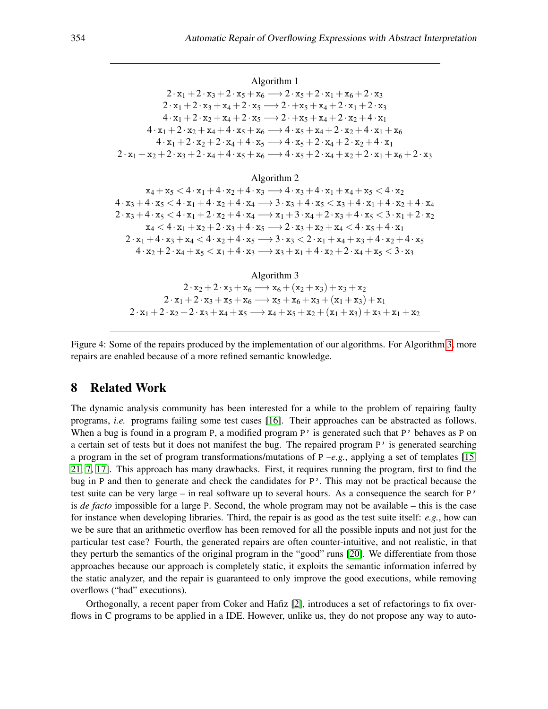Algorithm 1  $2 \cdot x_1 + 2 \cdot x_3 + 2 \cdot x_5 + x_6 \longrightarrow 2 \cdot x_5 + 2 \cdot x_1 + x_6 + 2 \cdot x_3$  $2 \cdot x_1 + 2 \cdot x_3 + x_4 + 2 \cdot x_5 \longrightarrow 2 \cdot x_5 + x_4 + 2 \cdot x_1 + 2 \cdot x_3$  $4 \cdot x_1 + 2 \cdot x_2 + x_4 + 2 \cdot x_5 \longrightarrow 2 \cdot + x_5 + x_4 + 2 \cdot x_2 + 4 \cdot x_1$  $4 \cdot x_1 + 2 \cdot x_2 + x_4 + 4 \cdot x_5 + x_6 \longrightarrow 4 \cdot x_5 + x_4 + 2 \cdot x_2 + 4 \cdot x_1 + x_6$  $4 \cdot x_1 + 2 \cdot x_2 + 2 \cdot x_4 + 4 \cdot x_5 \longrightarrow 4 \cdot x_5 + 2 \cdot x_4 + 2 \cdot x_2 + 4 \cdot x_1$  $2 \cdot x_1 + x_2 + 2 \cdot x_3 + 2 \cdot x_4 + 4 \cdot x_5 + x_6 \longrightarrow 4 \cdot x_5 + 2 \cdot x_4 + x_2 + 2 \cdot x_1 + x_6 + 2 \cdot x_3$ 

Algorithm 2

 $x_4 + x_5 < 4 \cdot x_1 + 4 \cdot x_2 + 4 \cdot x_3 \longrightarrow 4 \cdot x_3 + 4 \cdot x_1 + x_4 + x_5 < 4 \cdot x_2$  $4 \cdot x_3 + 4 \cdot x_5 < 4 \cdot x_1 + 4 \cdot x_2 + 4 \cdot x_4 \longrightarrow 3 \cdot x_3 + 4 \cdot x_5 < x_3 + 4 \cdot x_1 + 4 \cdot x_2 + 4 \cdot x_4$  $2 \cdot x_3 + 4 \cdot x_5 < 4 \cdot x_1 + 2 \cdot x_2 + 4 \cdot x_4 \longrightarrow x_1 + 3 \cdot x_4 + 2 \cdot x_3 + 4 \cdot x_5 < 3 \cdot x_1 + 2 \cdot x_2$  $x_4 < 4 \cdot x_1 + x_2 + 2 \cdot x_3 + 4 \cdot x_5 \longrightarrow 2 \cdot x_3 + x_2 + x_4 < 4 \cdot x_5 + 4 \cdot x_1$  $2 \cdot x_1 + 4 \cdot x_3 + x_4 < 4 \cdot x_2 + 4 \cdot x_5 \longrightarrow 3 \cdot x_3 < 2 \cdot x_1 + x_4 + x_3 + 4 \cdot x_2 + 4 \cdot x_5$  $4 \cdot x_2 + 2 \cdot x_4 + x_5 < x_1 + 4 \cdot x_3 \longrightarrow x_3 + x_1 + 4 \cdot x_2 + 2 \cdot x_4 + x_5 < 3 \cdot x_3$ 

Algorithm 3  $2 \cdot x_2 + 2 \cdot x_3 + x_6 \longrightarrow x_6 + (x_2 + x_3) + x_3 + x_2$  $2 \cdot x_1 + 2 \cdot x_3 + x_5 + x_6 \longrightarrow x_5 + x_6 + x_3 + (x_1 + x_3) + x_1$  $2 \cdot x_1 + 2 \cdot x_2 + 2 \cdot x_3 + x_4 + x_5 \longrightarrow x_4 + x_5 + x_2 + (x_1 + x_3) + x_3 + x_1 + x_2$ 

<span id="page-13-0"></span>Figure 4: Some of the repairs produced by the implementation of our algorithms. For Algorithm [3,](#page-11-0) more repairs are enabled because of a more refined semantic knowledge.

#### 8 Related Work

The dynamic analysis community has been interested for a while to the problem of repairing faulty programs, *i.e.* programs failing some test cases [\[16\]](#page-15-8). Their approaches can be abstracted as follows. When a bug is found in a program P, a modified program P' is generated such that P' behaves as P on a certain set of tests but it does not manifest the bug. The repaired program P' is generated searching a program in the set of program transformations/mutations of P –*e.g.*, applying a set of templates [\[15,](#page-15-9) [21,](#page-16-2) [7,](#page-15-10) [17\]](#page-15-11). This approach has many drawbacks. First, it requires running the program, first to find the bug in P and then to generate and check the candidates for P'. This may not be practical because the test suite can be very large – in real software up to several hours. As a consequence the search for P' is *de facto* impossible for a large P. Second, the whole program may not be available – this is the case for instance when developing libraries. Third, the repair is as good as the test suite itself: *e.g.*, how can we be sure that an arithmetic overflow has been removed for all the possible inputs and not just for the particular test case? Fourth, the generated repairs are often counter-intuitive, and not realistic, in that they perturb the semantics of the original program in the "good" runs [\[20\]](#page-16-3). We differentiate from those approaches because our approach is completely static, it exploits the semantic information inferred by the static analyzer, and the repair is guaranteed to only improve the good executions, while removing overflows ("bad" executions).

Orthogonally, a recent paper from Coker and Hafiz [\[2\]](#page-14-1), introduces a set of refactorings to fix overflows in C programs to be applied in a IDE. However, unlike us, they do not propose any way to auto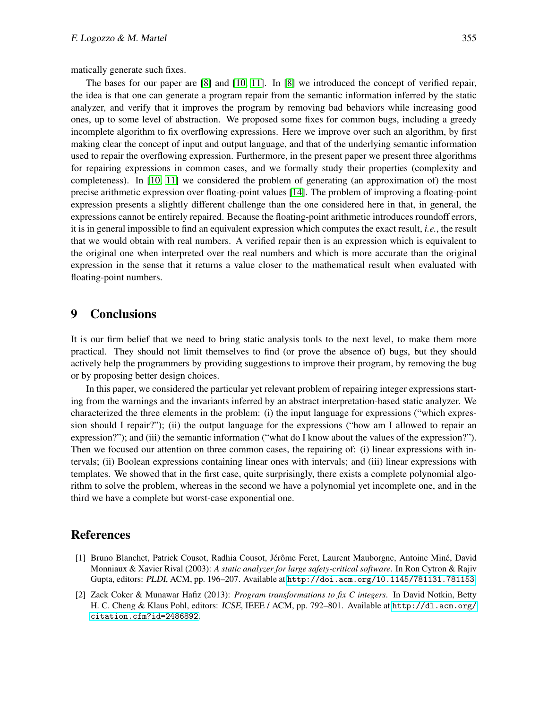matically generate such fixes.

The bases for our paper are [\[8\]](#page-15-4) and [\[10,](#page-15-12) [11\]](#page-15-13). In [\[8\]](#page-15-4) we introduced the concept of verified repair, the idea is that one can generate a program repair from the semantic information inferred by the static analyzer, and verify that it improves the program by removing bad behaviors while increasing good ones, up to some level of abstraction. We proposed some fixes for common bugs, including a greedy incomplete algorithm to fix overflowing expressions. Here we improve over such an algorithm, by first making clear the concept of input and output language, and that of the underlying semantic information used to repair the overflowing expression. Furthermore, in the present paper we present three algorithms for repairing expressions in common cases, and we formally study their properties (complexity and completeness). In [\[10,](#page-15-12) [11\]](#page-15-13) we considered the problem of generating (an approximation of) the most precise arithmetic expression over floating-point values [\[14\]](#page-15-14). The problem of improving a floating-point expression presents a slightly different challenge than the one considered here in that, in general, the expressions cannot be entirely repaired. Because the floating-point arithmetic introduces roundoff errors, it is in general impossible to find an equivalent expression which computes the exact result, *i.e.*, the result that we would obtain with real numbers. A verified repair then is an expression which is equivalent to the original one when interpreted over the real numbers and which is more accurate than the original expression in the sense that it returns a value closer to the mathematical result when evaluated with floating-point numbers.

## 9 Conclusions

It is our firm belief that we need to bring static analysis tools to the next level, to make them more practical. They should not limit themselves to find (or prove the absence of) bugs, but they should actively help the programmers by providing suggestions to improve their program, by removing the bug or by proposing better design choices.

In this paper, we considered the particular yet relevant problem of repairing integer expressions starting from the warnings and the invariants inferred by an abstract interpretation-based static analyzer. We characterized the three elements in the problem: (i) the input language for expressions ("which expression should I repair?"); (ii) the output language for the expressions ("how am I allowed to repair an expression?"); and (iii) the semantic information ("what do I know about the values of the expression?"). Then we focused our attention on three common cases, the repairing of: (i) linear expressions with intervals; (ii) Boolean expressions containing linear ones with intervals; and (iii) linear expressions with templates. We showed that in the first case, quite surprisingly, there exists a complete polynomial algorithm to solve the problem, whereas in the second we have a polynomial yet incomplete one, and in the third we have a complete but worst-case exponential one.

#### References

- <span id="page-14-0"></span>[1] Bruno Blanchet, Patrick Cousot, Radhia Cousot, Jérôme Feret, Laurent Mauborgne, Antoine Miné, David Monniaux & Xavier Rival (2003): *A static analyzer for large safety-critical software*. In Ron Cytron & Rajiv Gupta, editors: PLDI, ACM, pp. 196–207. Available at <http://doi.acm.org/10.1145/781131.781153>.
- <span id="page-14-1"></span>[2] Zack Coker & Munawar Hafiz (2013): *Program transformations to fix C integers*. In David Notkin, Betty H. C. Cheng & Klaus Pohl, editors: ICSE, IEEE / ACM, pp. 792–801. Available at [http://dl.acm.org/](http://dl.acm.org/citation.cfm?id=2486892) [citation.cfm?id=2486892](http://dl.acm.org/citation.cfm?id=2486892).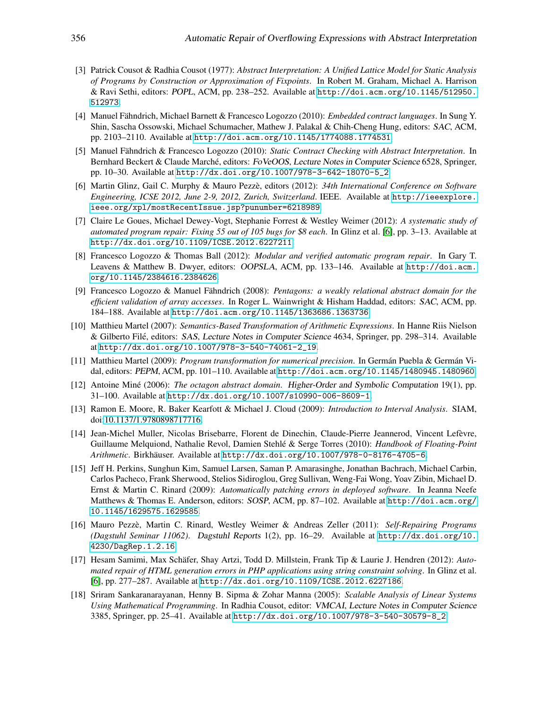- <span id="page-15-1"></span>[3] Patrick Cousot & Radhia Cousot (1977): *Abstract Interpretation: A Unified Lattice Model for Static Analysis of Programs by Construction or Approximation of Fixpoints*. In Robert M. Graham, Michael A. Harrison & Ravi Sethi, editors: POPL, ACM, pp. 238–252. Available at [http://doi.acm.org/10.1145/512950.](http://doi.acm.org/10.1145/512950.512973) [512973](http://doi.acm.org/10.1145/512950.512973).
- <span id="page-15-5"></span>[4] Manuel Fähndrich, Michael Barnett & Francesco Logozzo (2010): *Embedded contract languages*. In Sung Y. Shin, Sascha Ossowski, Michael Schumacher, Mathew J. Palakal & Chih-Cheng Hung, editors: SAC, ACM, pp. 2103–2110. Available at <http://doi.acm.org/10.1145/1774088.1774531>.
- <span id="page-15-0"></span>[5] Manuel Fähndrich & Francesco Logozzo (2010): *Static Contract Checking with Abstract Interpretation*. In Bernhard Beckert & Claude Marché, editors: FoVeOOS, Lecture Notes in Computer Science 6528, Springer, pp. 10–30. Available at [http://dx.doi.org/10.1007/978-3-642-18070-5\\_2](http://dx.doi.org/10.1007/978-3-642-18070-5_2).
- <span id="page-15-15"></span>[6] Martin Glinz, Gail C. Murphy & Mauro Pezze, editors (2012): ` *34th International Conference on Software Engineering, ICSE 2012, June 2-9, 2012, Zurich, Switzerland*. IEEE. Available at [http://ieeexplore.](http://ieeexplore.ieee.org/xpl/mostRecentIssue.jsp?punumber=6218989) [ieee.org/xpl/mostRecentIssue.jsp?punumber=6218989](http://ieeexplore.ieee.org/xpl/mostRecentIssue.jsp?punumber=6218989).
- <span id="page-15-10"></span>[7] Claire Le Goues, Michael Dewey-Vogt, Stephanie Forrest & Westley Weimer (2012): *A systematic study of automated program repair: Fixing 55 out of 105 bugs for* \$*8 each*. In Glinz et al. [\[6\]](#page-15-15), pp. 3–13. Available at <http://dx.doi.org/10.1109/ICSE.2012.6227211>.
- <span id="page-15-4"></span>[8] Francesco Logozzo & Thomas Ball (2012): *Modular and verified automatic program repair*. In Gary T. Leavens & Matthew B. Dwyer, editors: OOPSLA, ACM, pp. 133–146. Available at [http://doi.acm.](http://doi.acm.org/10.1145/2384616.2384626) [org/10.1145/2384616.2384626](http://doi.acm.org/10.1145/2384616.2384626).
- <span id="page-15-2"></span>[9] Francesco Logozzo & Manuel Fähndrich (2008): *Pentagons: a weakly relational abstract domain for the efficient validation of array accesses*. In Roger L. Wainwright & Hisham Haddad, editors: SAC, ACM, pp. 184–188. Available at <http://doi.acm.org/10.1145/1363686.1363736>.
- <span id="page-15-12"></span>[10] Matthieu Martel (2007): *Semantics-Based Transformation of Arithmetic Expressions*. In Hanne Riis Nielson & Gilberto Filé, editors: SAS, Lecture Notes in Computer Science 4634, Springer, pp. 298–314. Available at [http://dx.doi.org/10.1007/978-3-540-74061-2\\_19](http://dx.doi.org/10.1007/978-3-540-74061-2_19).
- <span id="page-15-13"></span>[11] Matthieu Martel (2009): *Program transformation for numerical precision*. In German Puebla & German Vidal, editors: PEPM, ACM, pp. 101–110. Available at <http://doi.acm.org/10.1145/1480945.1480960>.
- <span id="page-15-3"></span>[12] Antoine Miné (2006): *The octagon abstract domain*. Higher-Order and Symbolic Computation 19(1), pp. 31–100. Available at <http://dx.doi.org/10.1007/s10990-006-8609-1>.
- <span id="page-15-6"></span>[13] Ramon E. Moore, R. Baker Kearfott & Michael J. Cloud (2009): *Introduction to Interval Analysis*. SIAM, doi[:10.1137/1.9780898717716.](http://dx.doi.org/10.1137/1.9780898717716)
- <span id="page-15-14"></span>[14] Jean-Michel Muller, Nicolas Brisebarre, Florent de Dinechin, Claude-Pierre Jeannerod, Vincent Lefevre, ` Guillaume Melquiond, Nathalie Revol, Damien Stehlé & Serge Torres (2010): *Handbook of Floating-Point Arithmetic*. Birkhäuser. Available at <http://dx.doi.org/10.1007/978-0-8176-4705-6>.
- <span id="page-15-9"></span>[15] Jeff H. Perkins, Sunghun Kim, Samuel Larsen, Saman P. Amarasinghe, Jonathan Bachrach, Michael Carbin, Carlos Pacheco, Frank Sherwood, Stelios Sidiroglou, Greg Sullivan, Weng-Fai Wong, Yoav Zibin, Michael D. Ernst & Martin C. Rinard (2009): *Automatically patching errors in deployed software*. In Jeanna Neefe Matthews & Thomas E. Anderson, editors: SOSP, ACM, pp. 87–102. Available at [http://doi.acm.org/](http://doi.acm.org/10.1145/1629575.1629585) [10.1145/1629575.1629585](http://doi.acm.org/10.1145/1629575.1629585).
- <span id="page-15-8"></span>[16] Mauro Pezze, Martin C. Rinard, Westley Weimer & Andreas Zeller (2011): ` *Self-Repairing Programs (Dagstuhl Seminar 11062)*. Dagstuhl Reports 1(2), pp. 16–29. Available at [http://dx.doi.org/10.](http://dx.doi.org/10.4230/DagRep.1.2.16) [4230/DagRep.1.2.16](http://dx.doi.org/10.4230/DagRep.1.2.16).
- <span id="page-15-11"></span>[17] Hesam Samimi, Max Schäfer, Shay Artzi, Todd D. Millstein, Frank Tip & Laurie J. Hendren (2012): Auto*mated repair of HTML generation errors in PHP applications using string constraint solving*. In Glinz et al. [\[6\]](#page-15-15), pp. 277–287. Available at <http://dx.doi.org/10.1109/ICSE.2012.6227186>.
- <span id="page-15-7"></span>[18] Sriram Sankaranarayanan, Henny B. Sipma & Zohar Manna (2005): *Scalable Analysis of Linear Systems Using Mathematical Programming*. In Radhia Cousot, editor: VMCAI, Lecture Notes in Computer Science 3385, Springer, pp. 25–41. Available at [http://dx.doi.org/10.1007/978-3-540-30579-8\\_2](http://dx.doi.org/10.1007/978-3-540-30579-8_2).